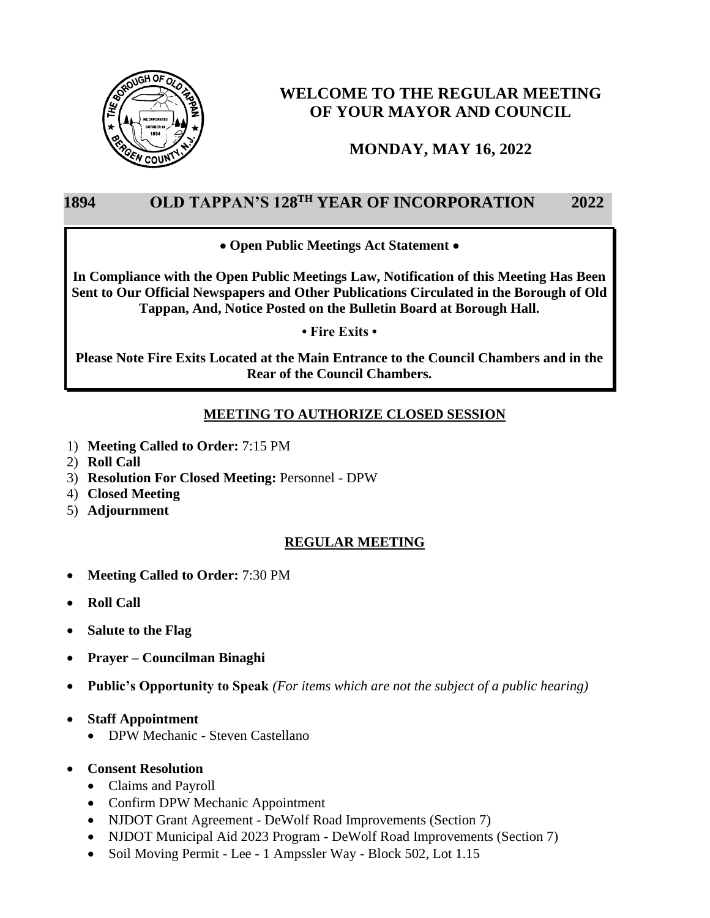

# **WELCOME TO THE REGULAR MEETING OF YOUR MAYOR AND COUNCIL**

## **MONDAY, MAY 16, 2022**

## 1894 OLD TAPPAN'S 128<sup>TH</sup> YEAR OF INCORPORATION 2022

### • **Open Public Meetings Act Statement** •

**In Compliance with the Open Public Meetings Law, Notification of this Meeting Has Been Sent to Our Official Newspapers and Other Publications Circulated in the Borough of Old Tappan, And, Notice Posted on the Bulletin Board at Borough Hall.**

**• Fire Exits •**

**Please Note Fire Exits Located at the Main Entrance to the Council Chambers and in the Rear of the Council Chambers.** 

## **MEETING TO AUTHORIZE CLOSED SESSION**

- 1) **Meeting Called to Order:** 7:15 PM
- 2) **Roll Call**
- 3) **Resolution For Closed Meeting:** Personnel DPW
- 4) **Closed Meeting**
- 5) **Adjournment**

## **REGULAR MEETING**

- **Meeting Called to Order:** 7:30 PM
- **Roll Call**
- **Salute to the Flag**
- **Prayer – Councilman Binaghi**
- **Public's Opportunity to Speak** *(For items which are not the subject of a public hearing)*
- **Staff Appointment**
	- DPW Mechanic Steven Castellano
- **Consent Resolution**
	- Claims and Payroll
	- Confirm DPW Mechanic Appointment
	- NJDOT Grant Agreement DeWolf Road Improvements (Section 7)
	- NJDOT Municipal Aid 2023 Program DeWolf Road Improvements (Section 7)
	- Soil Moving Permit Lee 1 Ampssler Way Block 502, Lot 1.15